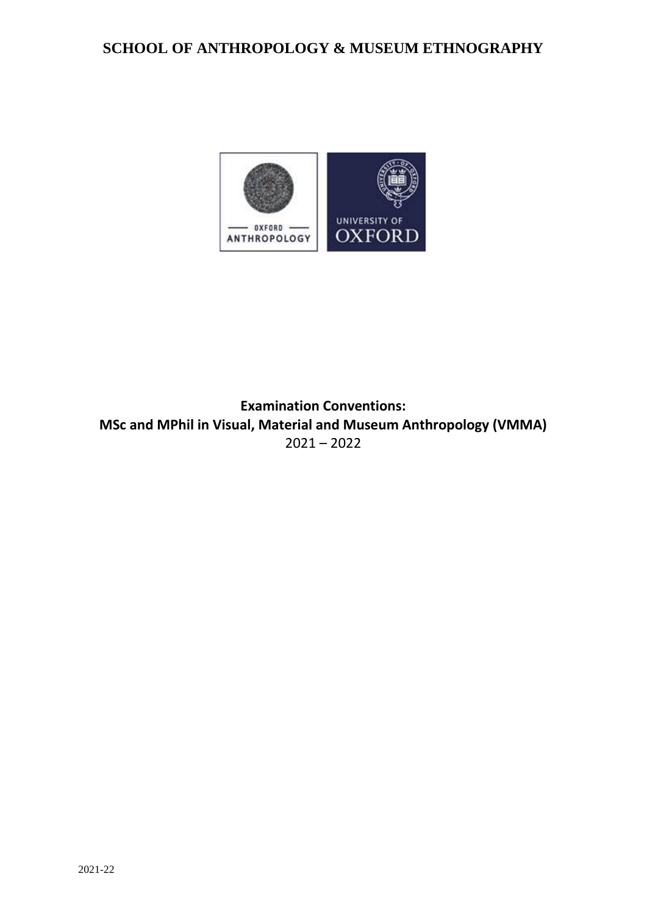# **SCHOOL OF ANTHROPOLOGY & MUSEUM ETHNOGRAPHY**

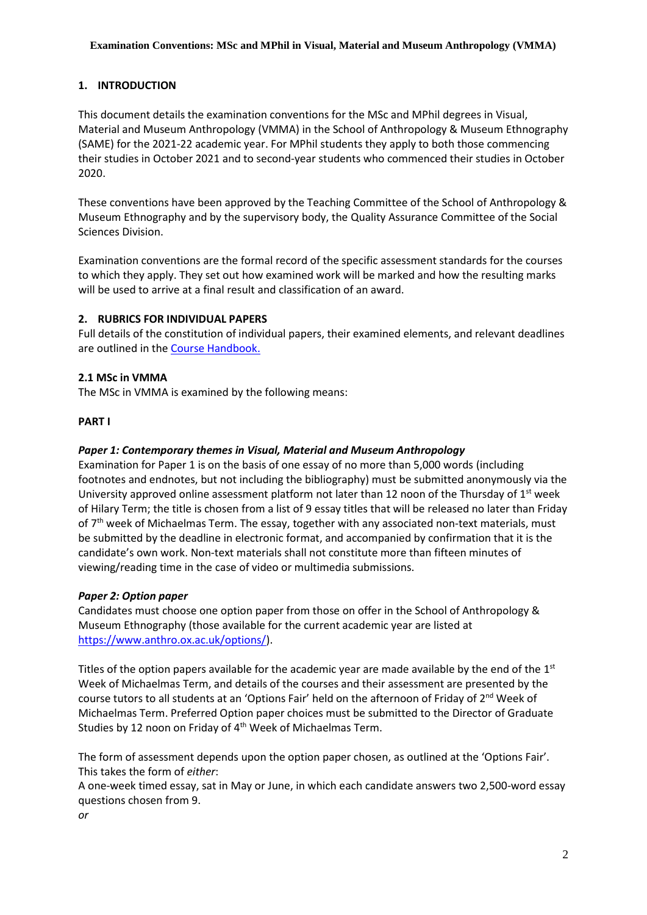## **1. INTRODUCTION**

This document details the examination conventions for the MSc and MPhil degrees in Visual, Material and Museum Anthropology (VMMA) in the School of Anthropology & Museum Ethnography (SAME) for the 2021-22 academic year. For MPhil students they apply to both those commencing their studies in October 2021 and to second-year students who commenced their studies in October 2020.

These conventions have been approved by the Teaching Committee of the School of Anthropology & Museum Ethnography and by the supervisory body, the Quality Assurance Committee of the Social Sciences Division.

Examination conventions are the formal record of the specific assessment standards for the courses to which they apply. They set out how examined work will be marked and how the resulting marks will be used to arrive at a final result and classification of an award.

## **2. RUBRICS FOR INDIVIDUAL PAPERS**

Full details of the constitution of individual papers, their examined elements, and relevant deadlines are outlined in the [Course Handbook.](https://www.anthro.ox.ac.uk/course-handbooks)

## **2.1 MSc in VMMA**

The MSc in VMMA is examined by the following means:

## **PART I**

# *Paper 1: Contemporary themes in Visual, Material and Museum Anthropology*

Examination for Paper 1 is on the basis of one essay of no more than 5,000 words (including footnotes and endnotes, but not including the bibliography) must be submitted anonymously via the University approved online assessment platform not later than 12 noon of the Thursday of  $1<sup>st</sup>$  week of Hilary Term; the title is chosen from a list of 9 essay titles that will be released no later than Friday of  $7<sup>th</sup>$  week of Michaelmas Term. The essay, together with any associated non-text materials, must be submitted by the deadline in electronic format, and accompanied by confirmation that it is the candidate's own work. Non-text materials shall not constitute more than fifteen minutes of viewing/reading time in the case of video or multimedia submissions.

## *Paper 2: Option paper*

Candidates must choose one option paper from those on offer in the School of Anthropology & Museum Ethnography (those available for the current academic year are listed at [https://www.anthro.ox.ac.uk/options/\)](https://www.anthro.ox.ac.uk/options/).

Titles of the option papers available for the academic year are made available by the end of the  $1<sup>st</sup>$ Week of Michaelmas Term, and details of the courses and their assessment are presented by the course tutors to all students at an 'Options Fair' held on the afternoon of Friday of 2<sup>nd</sup> Week of Michaelmas Term. Preferred Option paper choices must be submitted to the Director of Graduate Studies by 12 noon on Friday of 4th Week of Michaelmas Term.

The form of assessment depends upon the option paper chosen, as outlined at the 'Options Fair'. This takes the form of *either*:

A one-week timed essay, sat in May or June, in which each candidate answers two 2,500-word essay questions chosen from 9.

*or*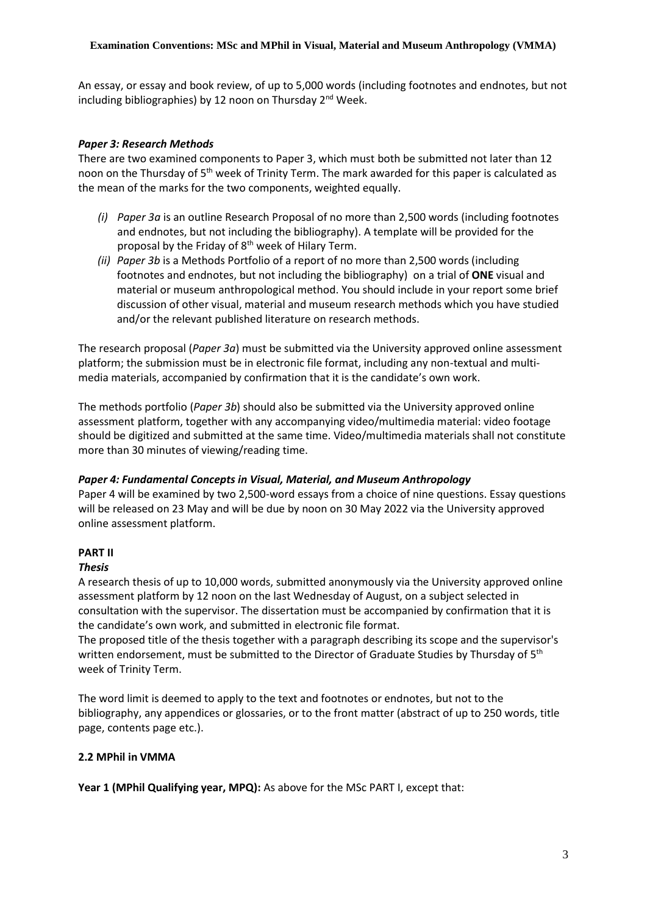An essay, or essay and book review, of up to 5,000 words (including footnotes and endnotes, but not including bibliographies) by 12 noon on Thursday  $2^{nd}$  Week.

# *Paper 3: Research Methods*

There are two examined components to Paper 3, which must both be submitted not later than 12 noon on the Thursday of 5<sup>th</sup> week of Trinity Term. The mark awarded for this paper is calculated as the mean of the marks for the two components, weighted equally.

- *(i) Paper 3a* is an outline Research Proposal of no more than 2,500 words (including footnotes and endnotes, but not including the bibliography). A template will be provided for the proposal by the Friday of 8<sup>th</sup> week of Hilary Term.
- *(ii) Paper 3b* is a Methods Portfolio of a report of no more than 2,500 words (including footnotes and endnotes, but not including the bibliography) on a trial of **ONE** visual and material or museum anthropological method. You should include in your report some brief discussion of other visual, material and museum research methods which you have studied and/or the relevant published literature on research methods.

The research proposal (*Paper 3a*) must be submitted via the University approved online assessment platform; the submission must be in electronic file format, including any non-textual and multimedia materials, accompanied by confirmation that it is the candidate's own work.

The methods portfolio (*Paper 3b*) should also be submitted via the University approved online assessment platform, together with any accompanying video/multimedia material: video footage should be digitized and submitted at the same time. Video/multimedia materials shall not constitute more than 30 minutes of viewing/reading time.

# *Paper 4: Fundamental Concepts in Visual, Material, and Museum Anthropology*

Paper 4 will be examined by two 2,500-word essays from a choice of nine questions. Essay questions will be released on 23 May and will be due by noon on 30 May 2022 via the University approved online assessment platform.

# **PART II**

## *Thesis*

A research thesis of up to 10,000 words, submitted anonymously via the University approved online assessment platform by 12 noon on the last Wednesday of August, on a subject selected in consultation with the supervisor. The dissertation must be accompanied by confirmation that it is the candidate's own work, and submitted in electronic file format.

The proposed title of the thesis together with a paragraph describing its scope and the supervisor's written endorsement, must be submitted to the Director of Graduate Studies by Thursday of 5<sup>th</sup> week of Trinity Term.

The word limit is deemed to apply to the text and footnotes or endnotes, but not to the bibliography, any appendices or glossaries, or to the front matter (abstract of up to 250 words, title page, contents page etc.).

## **2.2 MPhil in VMMA**

**Year 1 (MPhil Qualifying year, MPQ):** As above for the MSc PART I, except that: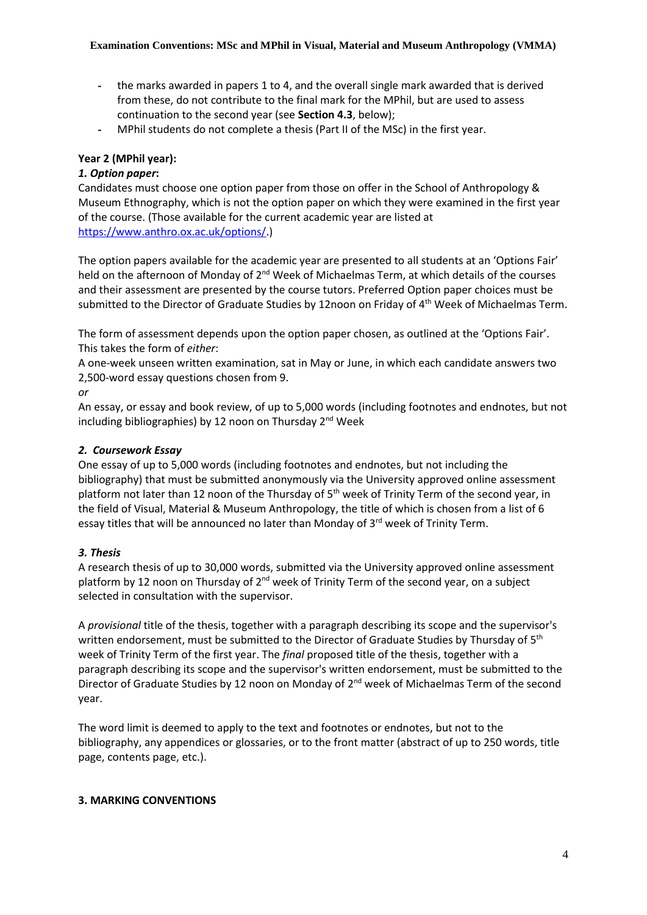- the marks awarded in papers 1 to 4, and the overall single mark awarded that is derived from these, do not contribute to the final mark for the MPhil, but are used to assess continuation to the second year (see **Section 4.3**, below);
- MPhil students do not complete a thesis (Part II of the MSc) in the first year.

# **Year 2 (MPhil year):**

# *1. Option paper***:**

Candidates must choose one option paper from those on offer in the School of Anthropology & Museum Ethnography, which is not the option paper on which they were examined in the first year of the course. (Those available for the current academic year are listed at [https://www.anthro.ox.ac.uk/options/.](https://www.anthro.ox.ac.uk/options/))

The option papers available for the academic year are presented to all students at an 'Options Fair' held on the afternoon of Monday of  $2<sup>nd</sup>$  Week of Michaelmas Term, at which details of the courses and their assessment are presented by the course tutors. Preferred Option paper choices must be submitted to the Director of Graduate Studies by 12noon on Friday of 4<sup>th</sup> Week of Michaelmas Term.

The form of assessment depends upon the option paper chosen, as outlined at the 'Options Fair'. This takes the form of *either*:

A one-week unseen written examination, sat in May or June, in which each candidate answers two 2,500-word essay questions chosen from 9.

#### *or*

An essay, or essay and book review, of up to 5,000 words (including footnotes and endnotes, but not including bibliographies) by 12 noon on Thursday 2<sup>nd</sup> Week

## *2. Coursework Essay*

One essay of up to 5,000 words (including footnotes and endnotes, but not including the bibliography) that must be submitted anonymously via the University approved online assessment platform not later than 12 noon of the Thursday of  $5<sup>th</sup>$  week of Trinity Term of the second year, in the field of Visual, Material & Museum Anthropology, the title of which is chosen from a list of 6 essay titles that will be announced no later than Monday of 3<sup>rd</sup> week of Trinity Term.

# *3. Thesis*

A research thesis of up to 30,000 words, submitted via the University approved online assessment platform by 12 noon on Thursday of 2<sup>nd</sup> week of Trinity Term of the second year, on a subject selected in consultation with the supervisor.

A *provisional* title of the thesis, together with a paragraph describing its scope and the supervisor's written endorsement, must be submitted to the Director of Graduate Studies by Thursday of  $5<sup>th</sup>$ week of Trinity Term of the first year. The *final* proposed title of the thesis, together with a paragraph describing its scope and the supervisor's written endorsement, must be submitted to the Director of Graduate Studies by 12 noon on Monday of 2<sup>nd</sup> week of Michaelmas Term of the second year.

The word limit is deemed to apply to the text and footnotes or endnotes, but not to the bibliography, any appendices or glossaries, or to the front matter (abstract of up to 250 words, title page, contents page, etc.).

## **3. MARKING CONVENTIONS**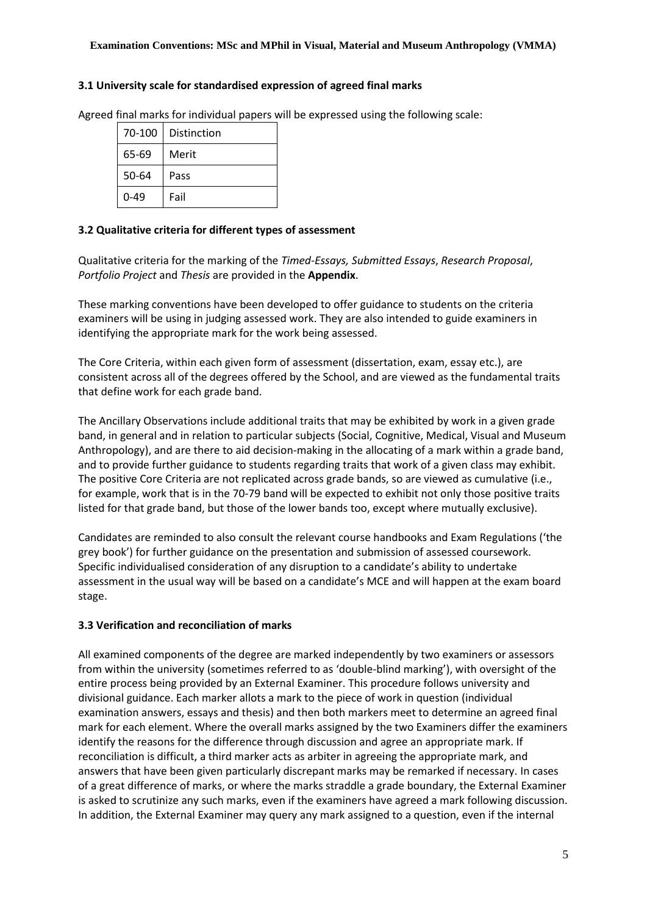#### **3.1 University scale for standardised expression of agreed final marks**

Agreed final marks for individual papers will be expressed using the following scale:

| 70-100   | Distinction |
|----------|-------------|
| 65-69    | Merit       |
| 50-64    | Pass        |
| $0 - 49$ | Fail        |

## **3.2 Qualitative criteria for different types of assessment**

Qualitative criteria for the marking of the *Timed-Essays, Submitted Essays*, *Research Proposal*, *Portfolio Project* and *Thesis* are provided in the **Appendix**.

These marking conventions have been developed to offer guidance to students on the criteria examiners will be using in judging assessed work. They are also intended to guide examiners in identifying the appropriate mark for the work being assessed.

The Core Criteria, within each given form of assessment (dissertation, exam, essay etc.), are consistent across all of the degrees offered by the School, and are viewed as the fundamental traits that define work for each grade band.

The Ancillary Observations include additional traits that may be exhibited by work in a given grade band, in general and in relation to particular subjects (Social, Cognitive, Medical, Visual and Museum Anthropology), and are there to aid decision-making in the allocating of a mark within a grade band, and to provide further guidance to students regarding traits that work of a given class may exhibit. The positive Core Criteria are not replicated across grade bands, so are viewed as cumulative (i.e., for example, work that is in the 70-79 band will be expected to exhibit not only those positive traits listed for that grade band, but those of the lower bands too, except where mutually exclusive).

Candidates are reminded to also consult the relevant course handbooks and Exam Regulations ('the grey book') for further guidance on the presentation and submission of assessed coursework. Specific individualised consideration of any disruption to a candidate's ability to undertake assessment in the usual way will be based on a candidate's MCE and will happen at the exam board stage.

## **3.3 Verification and reconciliation of marks**

All examined components of the degree are marked independently by two examiners or assessors from within the university (sometimes referred to as 'double-blind marking'), with oversight of the entire process being provided by an External Examiner. This procedure follows university and divisional guidance. Each marker allots a mark to the piece of work in question (individual examination answers, essays and thesis) and then both markers meet to determine an agreed final mark for each element. Where the overall marks assigned by the two Examiners differ the examiners identify the reasons for the difference through discussion and agree an appropriate mark. If reconciliation is difficult, a third marker acts as arbiter in agreeing the appropriate mark, and answers that have been given particularly discrepant marks may be remarked if necessary. In cases of a great difference of marks, or where the marks straddle a grade boundary, the External Examiner is asked to scrutinize any such marks, even if the examiners have agreed a mark following discussion. In addition, the External Examiner may query any mark assigned to a question, even if the internal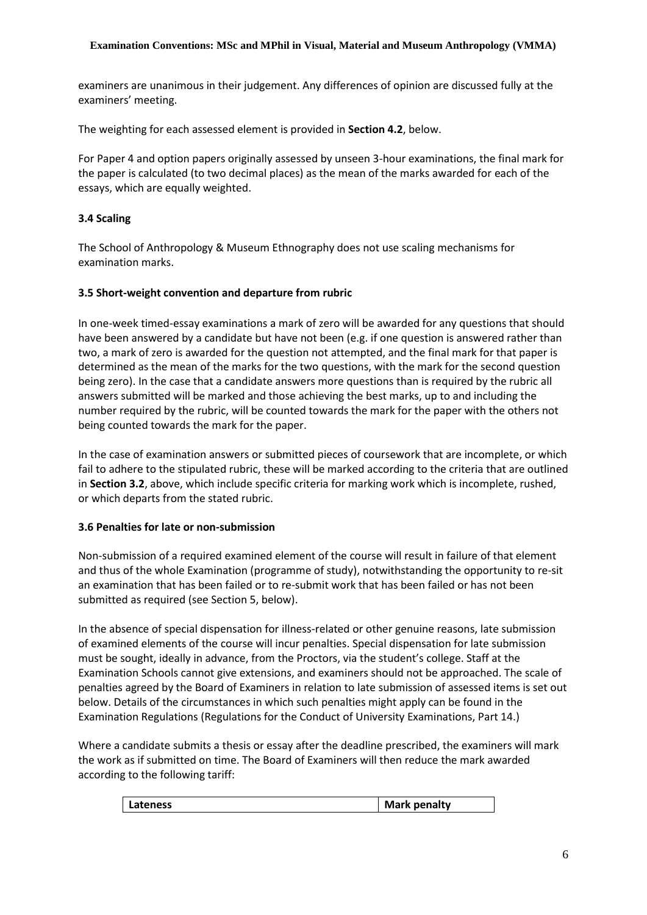examiners are unanimous in their judgement. Any differences of opinion are discussed fully at the examiners' meeting.

The weighting for each assessed element is provided in **Section 4.2**, below.

For Paper 4 and option papers originally assessed by unseen 3-hour examinations, the final mark for the paper is calculated (to two decimal places) as the mean of the marks awarded for each of the essays, which are equally weighted.

# **3.4 Scaling**

The School of Anthropology & Museum Ethnography does not use scaling mechanisms for examination marks.

## **3.5 Short-weight convention and departure from rubric**

In one-week timed-essay examinations a mark of zero will be awarded for any questions that should have been answered by a candidate but have not been (e.g. if one question is answered rather than two, a mark of zero is awarded for the question not attempted, and the final mark for that paper is determined as the mean of the marks for the two questions, with the mark for the second question being zero). In the case that a candidate answers more questions than is required by the rubric all answers submitted will be marked and those achieving the best marks, up to and including the number required by the rubric, will be counted towards the mark for the paper with the others not being counted towards the mark for the paper.

In the case of examination answers or submitted pieces of coursework that are incomplete, or which fail to adhere to the stipulated rubric, these will be marked according to the criteria that are outlined in **Section 3.2**, above, which include specific criteria for marking work which is incomplete, rushed, or which departs from the stated rubric.

# **3.6 Penalties for late or non-submission**

Non-submission of a required examined element of the course will result in failure of that element and thus of the whole Examination (programme of study), notwithstanding the opportunity to re-sit an examination that has been failed or to re-submit work that has been failed or has not been submitted as required (see Section 5, below).

In the absence of special dispensation for illness-related or other genuine reasons, late submission of examined elements of the course will incur penalties. Special dispensation for late submission must be sought, ideally in advance, from the Proctors, via the student's college. Staff at the Examination Schools cannot give extensions, and examiners should not be approached. The scale of penalties agreed by the Board of Examiners in relation to late submission of assessed items is set out below. Details of the circumstances in which such penalties might apply can be found in the Examination Regulations (Regulations for the Conduct of University Examinations, Part 14.)

Where a candidate submits a thesis or essay after the deadline prescribed, the examiners will mark the work as if submitted on time. The Board of Examiners will then reduce the mark awarded according to the following tariff:

| Lateness | <b>Mark penalty</b> |
|----------|---------------------|
|          |                     |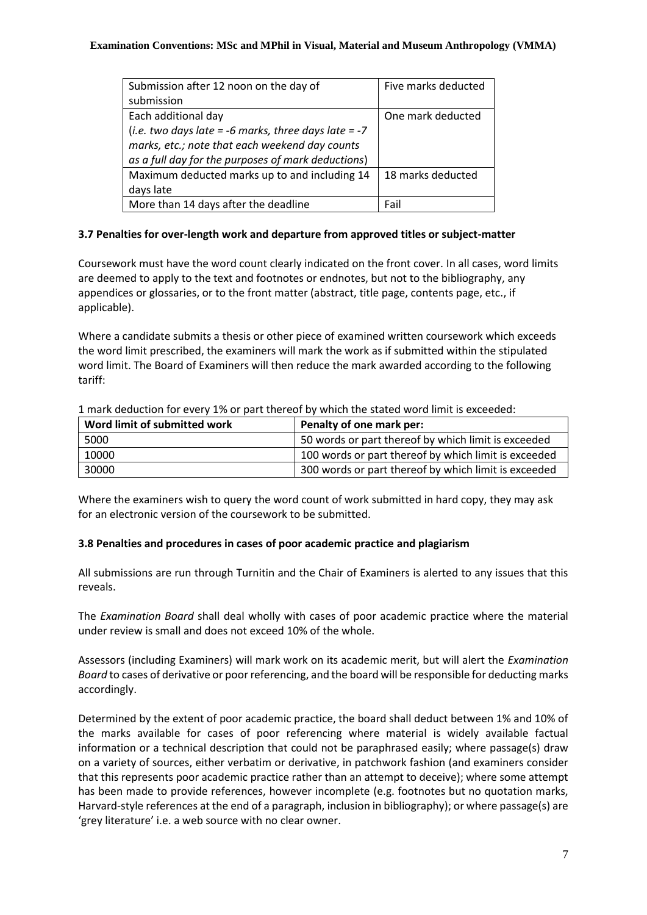| Submission after 12 noon on the day of                 | Five marks deducted |
|--------------------------------------------------------|---------------------|
| submission                                             |                     |
| Each additional day                                    | One mark deducted   |
| (i.e. two days late = -6 marks, three days late = $-7$ |                     |
| marks, etc.; note that each weekend day counts         |                     |
| as a full day for the purposes of mark deductions)     |                     |
| Maximum deducted marks up to and including 14          | 18 marks deducted   |
| days late                                              |                     |
| More than 14 days after the deadline                   | Fail                |

# **3.7 Penalties for over-length work and departure from approved titles or subject-matter**

Coursework must have the word count clearly indicated on the front cover. In all cases, word limits are deemed to apply to the text and footnotes or endnotes, but not to the bibliography, any appendices or glossaries, or to the front matter (abstract, title page, contents page, etc., if applicable).

Where a candidate submits a thesis or other piece of examined written coursework which exceeds the word limit prescribed, the examiners will mark the work as if submitted within the stipulated word limit. The Board of Examiners will then reduce the mark awarded according to the following tariff:

| Word limit of submitted work | Penalty of one mark per:                             |
|------------------------------|------------------------------------------------------|
| 5000                         | 50 words or part thereof by which limit is exceeded  |
| 10000                        | 100 words or part thereof by which limit is exceeded |
| 30000                        | 300 words or part thereof by which limit is exceeded |

1 mark deduction for every 1% or part thereof by which the stated word limit is exceeded:

Where the examiners wish to query the word count of work submitted in hard copy, they may ask for an electronic version of the coursework to be submitted.

# **3.8 Penalties and procedures in cases of poor academic practice and plagiarism**

All submissions are run through Turnitin and the Chair of Examiners is alerted to any issues that this reveals.

The *Examination Board* shall deal wholly with cases of poor academic practice where the material under review is small and does not exceed 10% of the whole.

Assessors (including Examiners) will mark work on its academic merit, but will alert the *Examination Board* to cases of derivative or poor referencing, and the board will be responsible for deducting marks accordingly.

Determined by the extent of poor academic practice, the board shall deduct between 1% and 10% of the marks available for cases of poor referencing where material is widely available factual information or a technical description that could not be paraphrased easily; where passage(s) draw on a variety of sources, either verbatim or derivative, in patchwork fashion (and examiners consider that this represents poor academic practice rather than an attempt to deceive); where some attempt has been made to provide references, however incomplete (e.g. footnotes but no quotation marks, Harvard-style references at the end of a paragraph, inclusion in bibliography); or where passage(s) are 'grey literature' i.e. a web source with no clear owner.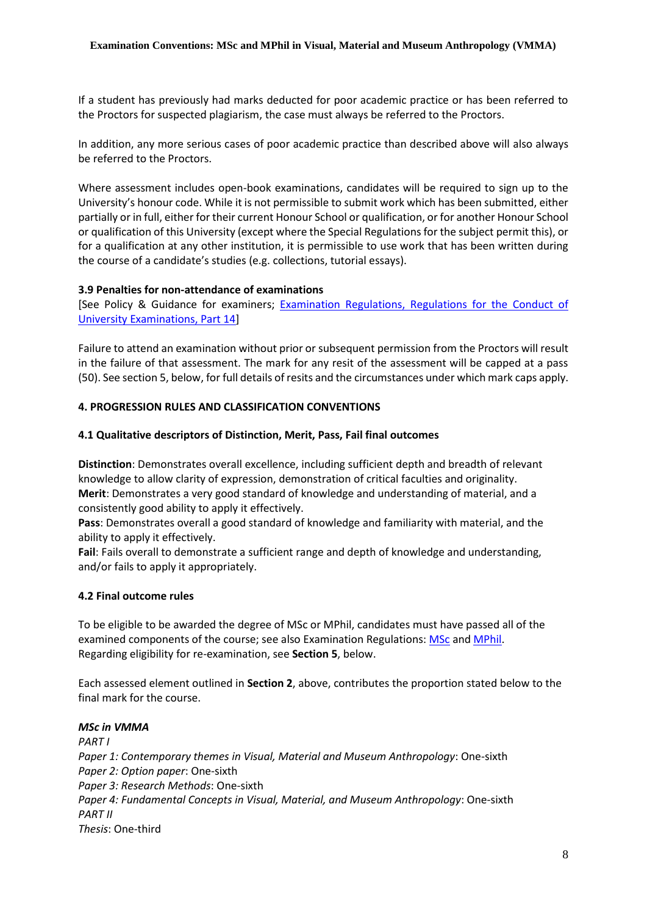If a student has previously had marks deducted for poor academic practice or has been referred to the Proctors for suspected plagiarism, the case must always be referred to the Proctors.

In addition, any more serious cases of poor academic practice than described above will also always be referred to the Proctors.

Where assessment includes open-book examinations, candidates will be required to sign up to the University's honour code. While it is not permissible to submit work which has been submitted, either partially or in full, either for their current Honour School or qualification, or for another Honour School or qualification of this University (except where the Special Regulations for the subject permit this), or for a qualification at any other institution, it is permissible to use work that has been written during the course of a candidate's studies (e.g. collections, tutorial essays).

#### **3.9 Penalties for non-attendance of examinations**

[See Policy & Guidance for examiners; Examination Regulations, Regulations for the Conduct of [University Examinations, Part 14\]](http://www.admin.ox.ac.uk/examregs/2015-16/rftcoue-p14ls-n-snawfromexam/)

Failure to attend an examination without prior or subsequent permission from the Proctors will result in the failure of that assessment. The mark for any resit of the assessment will be capped at a pass (50). See section 5, below, for full details of resits and the circumstances under which mark caps apply.

#### **4. PROGRESSION RULES AND CLASSIFICATION CONVENTIONS**

#### **4.1 Qualitative descriptors of Distinction, Merit, Pass, Fail final outcomes**

**Distinction**: Demonstrates overall excellence, including sufficient depth and breadth of relevant knowledge to allow clarity of expression, demonstration of critical faculties and originality. **Merit**: Demonstrates a very good standard of knowledge and understanding of material, and a consistently good ability to apply it effectively.

**Pass**: Demonstrates overall a good standard of knowledge and familiarity with material, and the ability to apply it effectively.

**Fail**: Fails overall to demonstrate a sufficient range and depth of knowledge and understanding, and/or fails to apply it appropriately.

#### **4.2 Final outcome rules**

To be eligible to be awarded the degree of MSc or MPhil, candidates must have passed all of the examined components of the course; see also Examination Regulations: [MSc](https://examregs.admin.ox.ac.uk/Regulation?code=mosbciv-mandmuseanth&srchYear=2020&srchTerm=1&year=2019&term=1) and [MPhil.](https://examregs.admin.ox.ac.uk/Regulation?code=mopiv-mandmuseanth&srchYear=2020&srchTerm=1&year=2019&term=1) Regarding eligibility for re-examination, see **Section 5**, below.

Each assessed element outlined in **Section 2**, above, contributes the proportion stated below to the final mark for the course.

#### *MSc in VMMA*

*PART I Paper 1: Contemporary themes in Visual, Material and Museum Anthropology*: One-sixth *Paper 2: Option paper*: One-sixth *Paper 3: Research Methods*: One-sixth *Paper 4: Fundamental Concepts in Visual, Material, and Museum Anthropology*: One-sixth *PART II Thesis*: One-third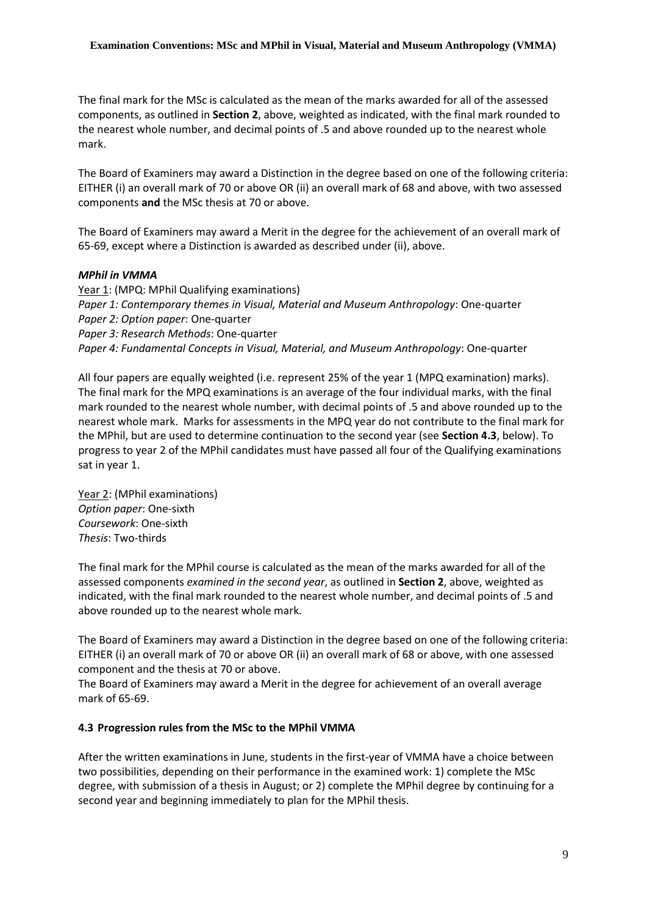The final mark for the MSc is calculated as the mean of the marks awarded for all of the assessed components, as outlined in **Section 2**, above, weighted as indicated, with the final mark rounded to the nearest whole number, and decimal points of .5 and above rounded up to the nearest whole mark.

The Board of Examiners may award a Distinction in the degree based on one of the following criteria: EITHER (i) an overall mark of 70 or above OR (ii) an overall mark of 68 and above, with two assessed components **and** the MSc thesis at 70 or above.

The Board of Examiners may award a Merit in the degree for the achievement of an overall mark of 65-69, except where a Distinction is awarded as described under (ii), above.

## *MPhil in VMMA*

Year 1: (MPQ: MPhil Qualifying examinations) *Paper 1: Contemporary themes in Visual, Material and Museum Anthropology*: One-quarter *Paper 2: Option paper*: One-quarter *Paper 3: Research Methods*: One-quarter *Paper 4: Fundamental Concepts in Visual, Material, and Museum Anthropology*: One-quarter

All four papers are equally weighted (i.e. represent 25% of the year 1 (MPQ examination) marks). The final mark for the MPQ examinations is an average of the four individual marks, with the final mark rounded to the nearest whole number, with decimal points of .5 and above rounded up to the nearest whole mark. Marks for assessments in the MPQ year do not contribute to the final mark for the MPhil, but are used to determine continuation to the second year (see **Section 4.3**, below). To progress to year 2 of the MPhil candidates must have passed all four of the Qualifying examinations sat in year 1.

Year 2: (MPhil examinations) *Option paper*: One-sixth *Coursework*: One-sixth *Thesis*: Two-thirds

The final mark for the MPhil course is calculated as the mean of the marks awarded for all of the assessed components *examined in the second year*, as outlined in **Section 2**, above, weighted as indicated, with the final mark rounded to the nearest whole number, and decimal points of .5 and above rounded up to the nearest whole mark.

The Board of Examiners may award a Distinction in the degree based on one of the following criteria: EITHER (i) an overall mark of 70 or above OR (ii) an overall mark of 68 or above, with one assessed component and the thesis at 70 or above.

The Board of Examiners may award a Merit in the degree for achievement of an overall average mark of 65-69.

## **4.3 Progression rules from the MSc to the MPhil VMMA**

After the written examinations in June, students in the first-year of VMMA have a choice between two possibilities, depending on their performance in the examined work: 1) complete the MSc degree, with submission of a thesis in August; or 2) complete the MPhil degree by continuing for a second year and beginning immediately to plan for the MPhil thesis.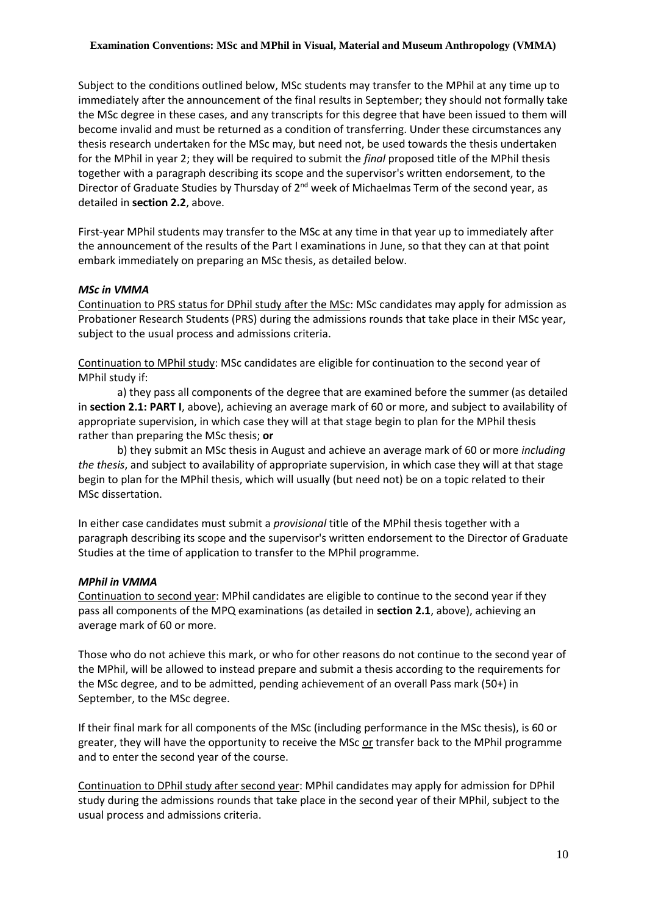Subject to the conditions outlined below, MSc students may transfer to the MPhil at any time up to immediately after the announcement of the final results in September; they should not formally take the MSc degree in these cases, and any transcripts for this degree that have been issued to them will become invalid and must be returned as a condition of transferring. Under these circumstances any thesis research undertaken for the MSc may, but need not, be used towards the thesis undertaken for the MPhil in year 2; they will be required to submit the *final* proposed title of the MPhil thesis together with a paragraph describing its scope and the supervisor's written endorsement, to the Director of Graduate Studies by Thursday of 2<sup>nd</sup> week of Michaelmas Term of the second year, as detailed in **section 2.2**, above.

First-year MPhil students may transfer to the MSc at any time in that year up to immediately after the announcement of the results of the Part I examinations in June, so that they can at that point embark immediately on preparing an MSc thesis, as detailed below.

#### *MSc in VMMA*

Continuation to PRS status for DPhil study after the MSc: MSc candidates may apply for admission as Probationer Research Students (PRS) during the admissions rounds that take place in their MSc year, subject to the usual process and admissions criteria.

Continuation to MPhil study: MSc candidates are eligible for continuation to the second year of MPhil study if:

a) they pass all components of the degree that are examined before the summer (as detailed in **section 2.1: PART I**, above), achieving an average mark of 60 or more, and subject to availability of appropriate supervision, in which case they will at that stage begin to plan for the MPhil thesis rather than preparing the MSc thesis; **or**

b) they submit an MSc thesis in August and achieve an average mark of 60 or more *including the thesis*, and subject to availability of appropriate supervision, in which case they will at that stage begin to plan for the MPhil thesis, which will usually (but need not) be on a topic related to their MSc dissertation.

In either case candidates must submit a *provisional* title of the MPhil thesis together with a paragraph describing its scope and the supervisor's written endorsement to the Director of Graduate Studies at the time of application to transfer to the MPhil programme.

#### *MPhil in VMMA*

Continuation to second year: MPhil candidates are eligible to continue to the second year if they pass all components of the MPQ examinations (as detailed in **section 2.1**, above), achieving an average mark of 60 or more.

Those who do not achieve this mark, or who for other reasons do not continue to the second year of the MPhil, will be allowed to instead prepare and submit a thesis according to the requirements for the MSc degree, and to be admitted, pending achievement of an overall Pass mark (50+) in September, to the MSc degree.

If their final mark for all components of the MSc (including performance in the MSc thesis), is 60 or greater, they will have the opportunity to receive the MSc or transfer back to the MPhil programme and to enter the second year of the course.

Continuation to DPhil study after second year: MPhil candidates may apply for admission for DPhil study during the admissions rounds that take place in the second year of their MPhil, subject to the usual process and admissions criteria.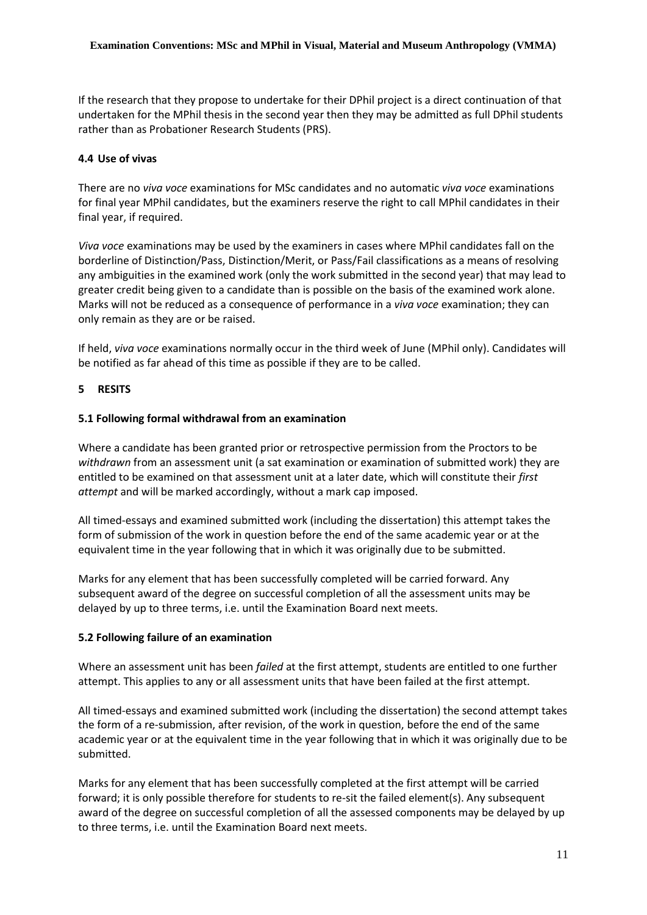If the research that they propose to undertake for their DPhil project is a direct continuation of that undertaken for the MPhil thesis in the second year then they may be admitted as full DPhil students rather than as Probationer Research Students (PRS).

## **4.4 Use of vivas**

There are no *viva voce* examinations for MSc candidates and no automatic *viva voce* examinations for final year MPhil candidates, but the examiners reserve the right to call MPhil candidates in their final year, if required.

*Viva voce* examinations may be used by the examiners in cases where MPhil candidates fall on the borderline of Distinction/Pass, Distinction/Merit, or Pass/Fail classifications as a means of resolving any ambiguities in the examined work (only the work submitted in the second year) that may lead to greater credit being given to a candidate than is possible on the basis of the examined work alone. Marks will not be reduced as a consequence of performance in a *viva voce* examination; they can only remain as they are or be raised.

If held, *viva voce* examinations normally occur in the third week of June (MPhil only). Candidates will be notified as far ahead of this time as possible if they are to be called.

## **5 RESITS**

## **5.1 Following formal withdrawal from an examination**

Where a candidate has been granted prior or retrospective permission from the Proctors to be *withdrawn* from an assessment unit (a sat examination or examination of submitted work) they are entitled to be examined on that assessment unit at a later date, which will constitute their *first attempt* and will be marked accordingly, without a mark cap imposed.

All timed-essays and examined submitted work (including the dissertation) this attempt takes the form of submission of the work in question before the end of the same academic year or at the equivalent time in the year following that in which it was originally due to be submitted.

Marks for any element that has been successfully completed will be carried forward. Any subsequent award of the degree on successful completion of all the assessment units may be delayed by up to three terms, i.e. until the Examination Board next meets.

## **5.2 Following failure of an examination**

Where an assessment unit has been *failed* at the first attempt, students are entitled to one further attempt. This applies to any or all assessment units that have been failed at the first attempt.

All timed-essays and examined submitted work (including the dissertation) the second attempt takes the form of a re-submission, after revision, of the work in question, before the end of the same academic year or at the equivalent time in the year following that in which it was originally due to be submitted.

Marks for any element that has been successfully completed at the first attempt will be carried forward; it is only possible therefore for students to re-sit the failed element(s). Any subsequent award of the degree on successful completion of all the assessed components may be delayed by up to three terms, i.e. until the Examination Board next meets.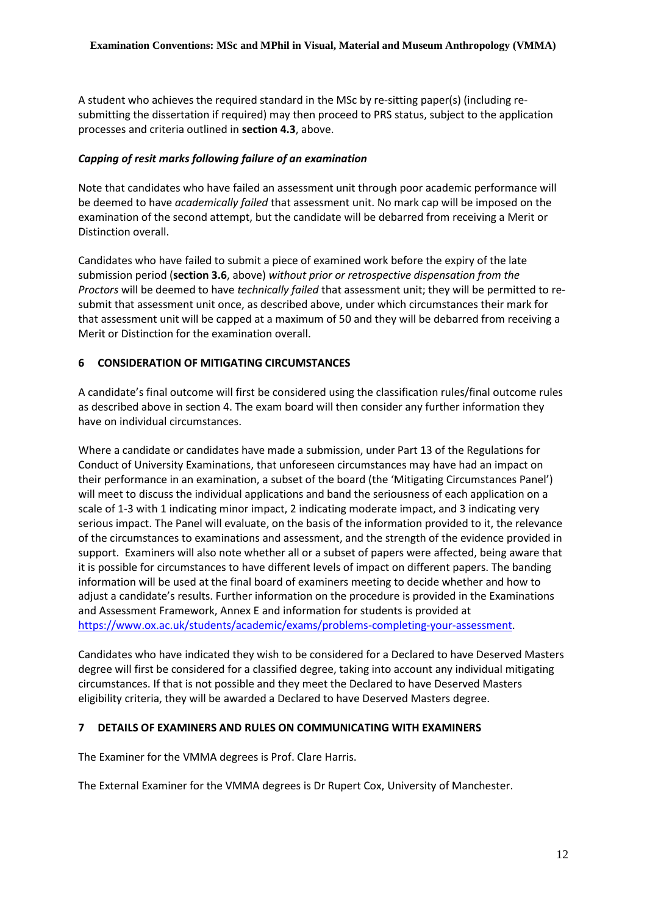A student who achieves the required standard in the MSc by re-sitting paper(s) (including resubmitting the dissertation if required) may then proceed to PRS status, subject to the application processes and criteria outlined in **section 4.3**, above.

## *Capping of resit marks following failure of an examination*

Note that candidates who have failed an assessment unit through poor academic performance will be deemed to have *academically failed* that assessment unit. No mark cap will be imposed on the examination of the second attempt, but the candidate will be debarred from receiving a Merit or Distinction overall.

Candidates who have failed to submit a piece of examined work before the expiry of the late submission period (**section 3.6**, above) *without prior or retrospective dispensation from the Proctors* will be deemed to have *technically failed* that assessment unit; they will be permitted to resubmit that assessment unit once, as described above, under which circumstances their mark for that assessment unit will be capped at a maximum of 50 and they will be debarred from receiving a Merit or Distinction for the examination overall.

# **6 CONSIDERATION OF MITIGATING CIRCUMSTANCES**

A candidate's final outcome will first be considered using the classification rules/final outcome rules as described above in section 4. The exam board will then consider any further information they have on individual circumstances.

Where a candidate or candidates have made a submission, under Part 13 of the Regulations for Conduct of University Examinations, that unforeseen circumstances may have had an impact on their performance in an examination, a subset of the board (the 'Mitigating Circumstances Panel') will meet to discuss the individual applications and band the seriousness of each application on a scale of 1-3 with 1 indicating minor impact, 2 indicating moderate impact, and 3 indicating very serious impact. The Panel will evaluate, on the basis of the information provided to it, the relevance of the circumstances to examinations and assessment, and the strength of the evidence provided in support. Examiners will also note whether all or a subset of papers were affected, being aware that it is possible for circumstances to have different levels of impact on different papers. The banding information will be used at the final board of examiners meeting to decide whether and how to adjust a candidate's results. Further information on the procedure is provided in the Examinations and Assessment Framework, Annex E and information for students is provided at [https://www.ox.ac.uk/students/academic/exams/problems-completing-your-assessment.](https://www.ox.ac.uk/students/academic/exams/problems-completing-your-assessment)

Candidates who have indicated they wish to be considered for a Declared to have Deserved Masters degree will first be considered for a classified degree, taking into account any individual mitigating circumstances. If that is not possible and they meet the Declared to have Deserved Masters eligibility criteria, they will be awarded a Declared to have Deserved Masters degree.

## **7 DETAILS OF EXAMINERS AND RULES ON COMMUNICATING WITH EXAMINERS**

The Examiner for the VMMA degrees is Prof. Clare Harris.

The External Examiner for the VMMA degrees is Dr Rupert Cox, University of Manchester.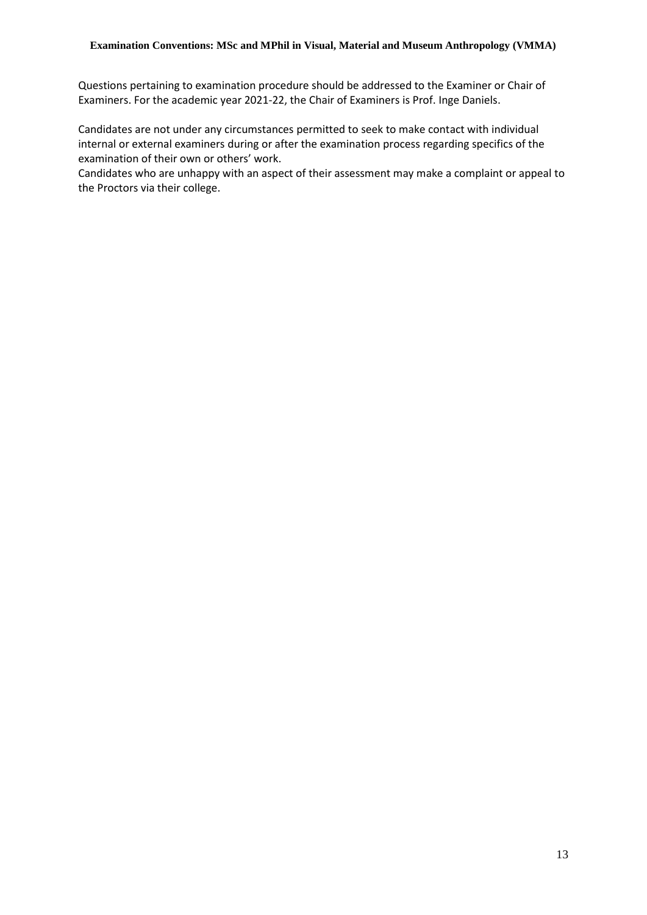Questions pertaining to examination procedure should be addressed to the Examiner or Chair of Examiners. For the academic year 2021-22, the Chair of Examiners is Prof. Inge Daniels.

Candidates are not under any circumstances permitted to seek to make contact with individual internal or external examiners during or after the examination process regarding specifics of the examination of their own or others' work.

Candidates who are unhappy with an aspect of their assessment may make a complaint or appeal to the Proctors via their college.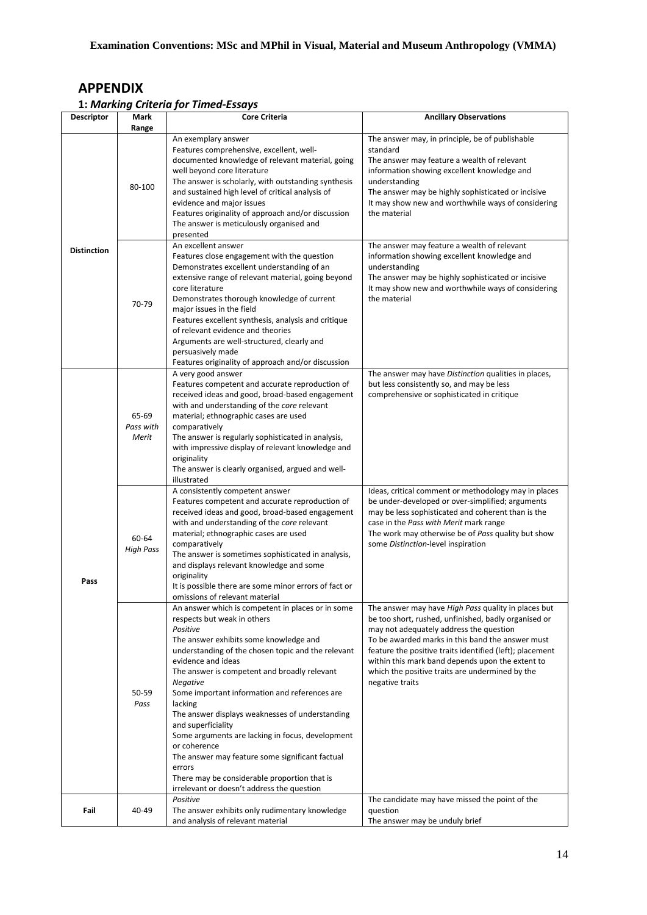# **APPENDIX**

# **1:** *Marking Criteria for Timed-Essays*

| Descriptor         | Mark                        | <b>Core Criteria</b>                                                                                                                                                                                                                                                                                                                                                                                                                                                                                                                                                                                                                               | <b>Ancillary Observations</b>                                                                                                                                                                                                                                                                                                                                                                    |
|--------------------|-----------------------------|----------------------------------------------------------------------------------------------------------------------------------------------------------------------------------------------------------------------------------------------------------------------------------------------------------------------------------------------------------------------------------------------------------------------------------------------------------------------------------------------------------------------------------------------------------------------------------------------------------------------------------------------------|--------------------------------------------------------------------------------------------------------------------------------------------------------------------------------------------------------------------------------------------------------------------------------------------------------------------------------------------------------------------------------------------------|
|                    | Range                       | An exemplary answer                                                                                                                                                                                                                                                                                                                                                                                                                                                                                                                                                                                                                                | The answer may, in principle, be of publishable                                                                                                                                                                                                                                                                                                                                                  |
|                    | 80-100                      | Features comprehensive, excellent, well-<br>documented knowledge of relevant material, going<br>well beyond core literature<br>The answer is scholarly, with outstanding synthesis<br>and sustained high level of critical analysis of<br>evidence and major issues<br>Features originality of approach and/or discussion<br>The answer is meticulously organised and<br>presented                                                                                                                                                                                                                                                                 | standard<br>The answer may feature a wealth of relevant<br>information showing excellent knowledge and<br>understanding<br>The answer may be highly sophisticated or incisive<br>It may show new and worthwhile ways of considering<br>the material                                                                                                                                              |
| <b>Distinction</b> | 70-79                       | An excellent answer<br>Features close engagement with the question<br>Demonstrates excellent understanding of an<br>extensive range of relevant material, going beyond<br>core literature<br>Demonstrates thorough knowledge of current<br>major issues in the field<br>Features excellent synthesis, analysis and critique<br>of relevant evidence and theories<br>Arguments are well-structured, clearly and<br>persuasively made<br>Features originality of approach and/or discussion                                                                                                                                                          | The answer may feature a wealth of relevant<br>information showing excellent knowledge and<br>understanding<br>The answer may be highly sophisticated or incisive<br>It may show new and worthwhile ways of considering<br>the material                                                                                                                                                          |
|                    | 65-69<br>Pass with<br>Merit | A very good answer<br>Features competent and accurate reproduction of<br>received ideas and good, broad-based engagement<br>with and understanding of the core relevant<br>material; ethnographic cases are used<br>comparatively<br>The answer is regularly sophisticated in analysis,<br>with impressive display of relevant knowledge and<br>originality<br>The answer is clearly organised, argued and well-<br>illustrated                                                                                                                                                                                                                    | The answer may have Distinction qualities in places,<br>but less consistently so, and may be less<br>comprehensive or sophisticated in critique                                                                                                                                                                                                                                                  |
| Pass               | 60-64<br><b>High Pass</b>   | A consistently competent answer<br>Features competent and accurate reproduction of<br>received ideas and good, broad-based engagement<br>with and understanding of the core relevant<br>material; ethnographic cases are used<br>comparatively<br>The answer is sometimes sophisticated in analysis,<br>and displays relevant knowledge and some<br>originality<br>It is possible there are some minor errors of fact or<br>omissions of relevant material                                                                                                                                                                                         | Ideas, critical comment or methodology may in places<br>be under-developed or over-simplified; arguments<br>may be less sophisticated and coherent than is the<br>case in the Pass with Merit mark range<br>The work may otherwise be of Pass quality but show<br>some Distinction-level inspiration                                                                                             |
|                    | 50-59<br>Pass               | An answer which is competent in places or in some<br>respects but weak in others<br>Positive<br>The answer exhibits some knowledge and<br>understanding of the chosen topic and the relevant<br>evidence and ideas<br>The answer is competent and broadly relevant<br>Negative<br>Some important information and references are<br>lacking<br>The answer displays weaknesses of understanding<br>and superficiality<br>Some arguments are lacking in focus, development<br>or coherence<br>The answer may feature some significant factual<br>errors<br>There may be considerable proportion that is<br>irrelevant or doesn't address the question | The answer may have High Pass quality in places but<br>be too short, rushed, unfinished, badly organised or<br>may not adequately address the question<br>To be awarded marks in this band the answer must<br>feature the positive traits identified (left); placement<br>within this mark band depends upon the extent to<br>which the positive traits are undermined by the<br>negative traits |
| Fail               | 40-49                       | Positive<br>The answer exhibits only rudimentary knowledge<br>and analysis of relevant material                                                                                                                                                                                                                                                                                                                                                                                                                                                                                                                                                    | The candidate may have missed the point of the<br>question<br>The answer may be unduly brief                                                                                                                                                                                                                                                                                                     |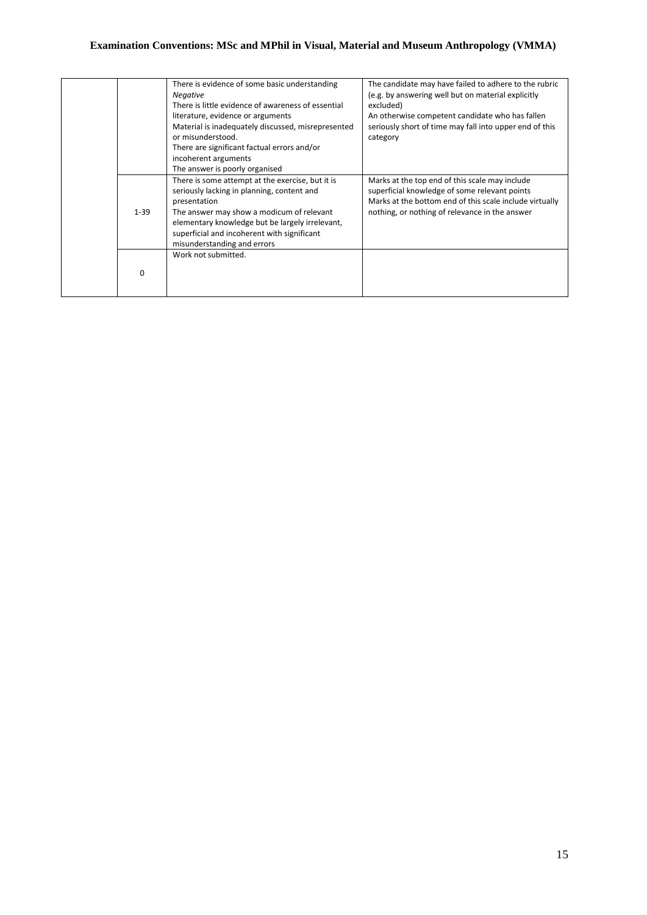|          | There is evidence of some basic understanding<br><b>Negative</b><br>There is little evidence of awareness of essential<br>literature, evidence or arguments<br>Material is inadequately discussed, misrepresented<br>or misunderstood.<br>There are significant factual errors and/or<br>incoherent arguments<br>The answer is poorly organised | The candidate may have failed to adhere to the rubric<br>(e.g. by answering well but on material explicitly<br>excluded)<br>An otherwise competent candidate who has fallen<br>seriously short of time may fall into upper end of this<br>category |
|----------|-------------------------------------------------------------------------------------------------------------------------------------------------------------------------------------------------------------------------------------------------------------------------------------------------------------------------------------------------|----------------------------------------------------------------------------------------------------------------------------------------------------------------------------------------------------------------------------------------------------|
| $1 - 39$ | There is some attempt at the exercise, but it is<br>seriously lacking in planning, content and<br>presentation<br>The answer may show a modicum of relevant<br>elementary knowledge but be largely irrelevant,<br>superficial and incoherent with significant<br>misunderstanding and errors                                                    | Marks at the top end of this scale may include<br>superficial knowledge of some relevant points<br>Marks at the bottom end of this scale include virtually<br>nothing, or nothing of relevance in the answer                                       |
| ŋ        | Work not submitted.                                                                                                                                                                                                                                                                                                                             |                                                                                                                                                                                                                                                    |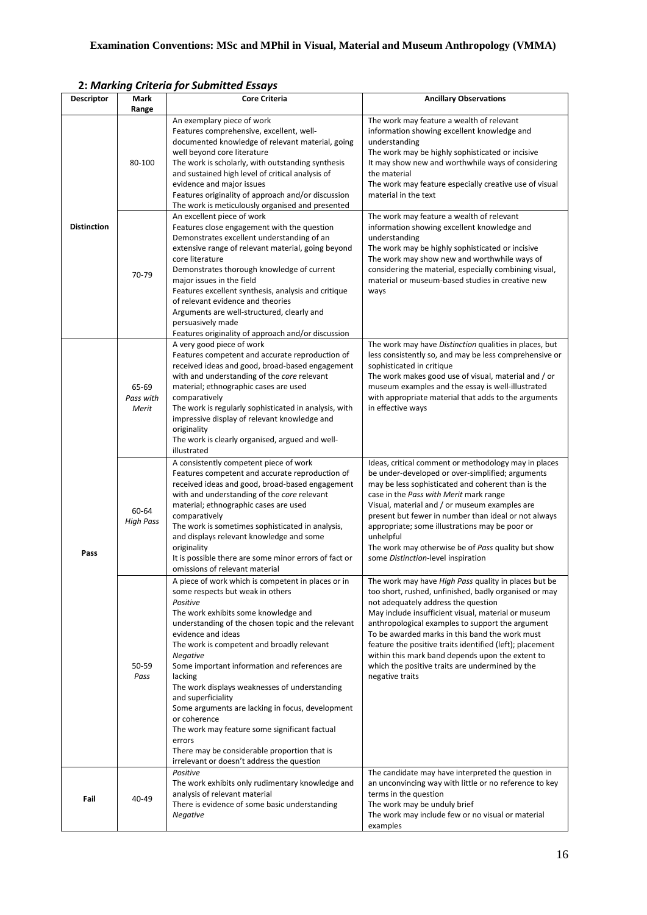|                    |                             | 2: Iviarking Criteria jor Submitted Essays                                                                                                                                                                                                                                                                                                                                                                                                                                                                                                                                                                                                              |                                                                                                                                                                                                                                                                                                                                                                                                                                                                                                         |
|--------------------|-----------------------------|---------------------------------------------------------------------------------------------------------------------------------------------------------------------------------------------------------------------------------------------------------------------------------------------------------------------------------------------------------------------------------------------------------------------------------------------------------------------------------------------------------------------------------------------------------------------------------------------------------------------------------------------------------|---------------------------------------------------------------------------------------------------------------------------------------------------------------------------------------------------------------------------------------------------------------------------------------------------------------------------------------------------------------------------------------------------------------------------------------------------------------------------------------------------------|
| <b>Descriptor</b>  | Mark<br>Range               | <b>Core Criteria</b>                                                                                                                                                                                                                                                                                                                                                                                                                                                                                                                                                                                                                                    | <b>Ancillary Observations</b>                                                                                                                                                                                                                                                                                                                                                                                                                                                                           |
|                    | 80-100                      | An exemplary piece of work<br>Features comprehensive, excellent, well-<br>documented knowledge of relevant material, going<br>well beyond core literature<br>The work is scholarly, with outstanding synthesis<br>and sustained high level of critical analysis of<br>evidence and major issues<br>Features originality of approach and/or discussion<br>The work is meticulously organised and presented                                                                                                                                                                                                                                               | The work may feature a wealth of relevant<br>information showing excellent knowledge and<br>understanding<br>The work may be highly sophisticated or incisive<br>It may show new and worthwhile ways of considering<br>the material<br>The work may feature especially creative use of visual<br>material in the text                                                                                                                                                                                   |
| <b>Distinction</b> | 70-79                       | An excellent piece of work<br>Features close engagement with the question<br>Demonstrates excellent understanding of an<br>extensive range of relevant material, going beyond<br>core literature<br>Demonstrates thorough knowledge of current<br>major issues in the field<br>Features excellent synthesis, analysis and critique<br>of relevant evidence and theories<br>Arguments are well-structured, clearly and<br>persuasively made<br>Features originality of approach and/or discussion                                                                                                                                                        | The work may feature a wealth of relevant<br>information showing excellent knowledge and<br>understanding<br>The work may be highly sophisticated or incisive<br>The work may show new and worthwhile ways of<br>considering the material, especially combining visual,<br>material or museum-based studies in creative new<br>ways                                                                                                                                                                     |
| Pass               | 65-69<br>Pass with<br>Merit | A very good piece of work<br>Features competent and accurate reproduction of<br>received ideas and good, broad-based engagement<br>with and understanding of the core relevant<br>material; ethnographic cases are used<br>comparatively<br>The work is regularly sophisticated in analysis, with<br>impressive display of relevant knowledge and<br>originality<br>The work is clearly organised, argued and well-<br>illustrated                                                                                                                                                                                                                      | The work may have Distinction qualities in places, but<br>less consistently so, and may be less comprehensive or<br>sophisticated in critique<br>The work makes good use of visual, material and / or<br>museum examples and the essay is well-illustrated<br>with appropriate material that adds to the arguments<br>in effective ways                                                                                                                                                                 |
|                    | 60-64<br><b>High Pass</b>   | A consistently competent piece of work<br>Features competent and accurate reproduction of<br>received ideas and good, broad-based engagement<br>with and understanding of the core relevant<br>material; ethnographic cases are used<br>comparatively<br>The work is sometimes sophisticated in analysis,<br>and displays relevant knowledge and some<br>originality<br>It is possible there are some minor errors of fact or<br>omissions of relevant material                                                                                                                                                                                         | Ideas, critical comment or methodology may in places<br>be under-developed or over-simplified; arguments<br>may be less sophisticated and coherent than is the<br>case in the Pass with Merit mark range<br>Visual, material and / or museum examples are<br>present but fewer in number than ideal or not always<br>appropriate; some illustrations may be poor or<br>unhelpful<br>The work may otherwise be of Pass quality but show<br>some Distinction-level inspiration                            |
|                    | 50-59<br>Pass               | A piece of work which is competent in places or in<br>some respects but weak in others<br>Positive<br>The work exhibits some knowledge and<br>understanding of the chosen topic and the relevant<br>evidence and ideas<br>The work is competent and broadly relevant<br><b>Negative</b><br>Some important information and references are<br>lacking<br>The work displays weaknesses of understanding<br>and superficiality<br>Some arguments are lacking in focus, development<br>or coherence<br>The work may feature some significant factual<br>errors<br>There may be considerable proportion that is<br>irrelevant or doesn't address the question | The work may have High Pass quality in places but be<br>too short, rushed, unfinished, badly organised or may<br>not adequately address the question<br>May include insufficient visual, material or museum<br>anthropological examples to support the argument<br>To be awarded marks in this band the work must<br>feature the positive traits identified (left); placement<br>within this mark band depends upon the extent to<br>which the positive traits are undermined by the<br>negative traits |
| Fail               | 40-49                       | Positive<br>The work exhibits only rudimentary knowledge and<br>analysis of relevant material<br>There is evidence of some basic understanding<br><b>Negative</b>                                                                                                                                                                                                                                                                                                                                                                                                                                                                                       | The candidate may have interpreted the question in<br>an unconvincing way with little or no reference to key<br>terms in the question<br>The work may be unduly brief<br>The work may include few or no visual or material<br>examples                                                                                                                                                                                                                                                                  |

**2:** *Marking Criteria for Submitted Essays*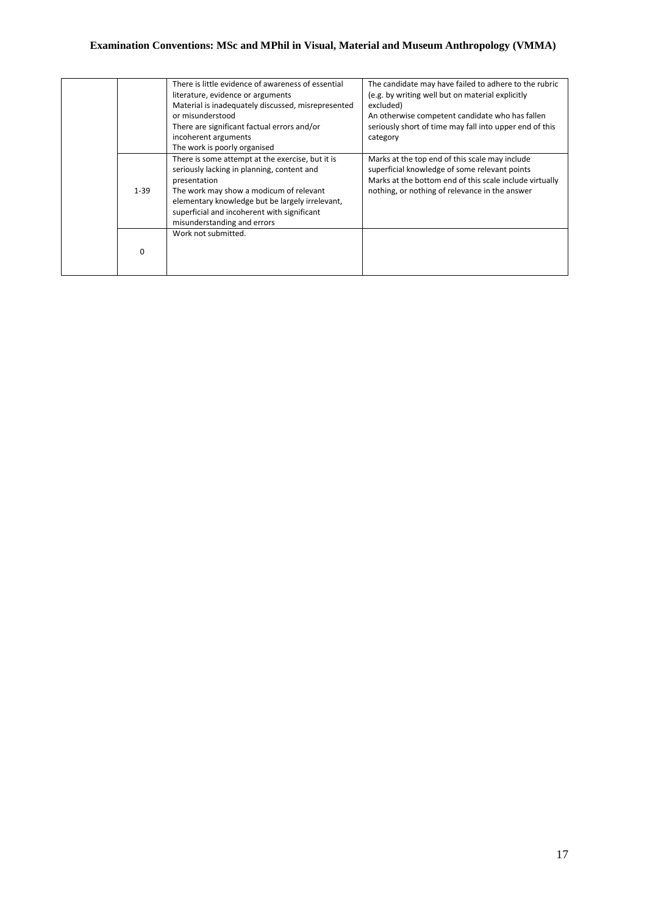|          | There is little evidence of awareness of essential<br>literature, evidence or arguments<br>Material is inadequately discussed, misrepresented<br>or misunderstood<br>There are significant factual errors and/or<br>incoherent arguments<br>The work is poorly organised                   | The candidate may have failed to adhere to the rubric<br>(e.g. by writing well but on material explicitly<br>excluded)<br>An otherwise competent candidate who has fallen<br>seriously short of time may fall into upper end of this<br>category |
|----------|--------------------------------------------------------------------------------------------------------------------------------------------------------------------------------------------------------------------------------------------------------------------------------------------|--------------------------------------------------------------------------------------------------------------------------------------------------------------------------------------------------------------------------------------------------|
| $1 - 39$ | There is some attempt at the exercise, but it is<br>seriously lacking in planning, content and<br>presentation<br>The work may show a modicum of relevant<br>elementary knowledge but be largely irrelevant,<br>superficial and incoherent with significant<br>misunderstanding and errors | Marks at the top end of this scale may include<br>superficial knowledge of some relevant points<br>Marks at the bottom end of this scale include virtually<br>nothing, or nothing of relevance in the answer                                     |
| 0        | Work not submitted.                                                                                                                                                                                                                                                                        |                                                                                                                                                                                                                                                  |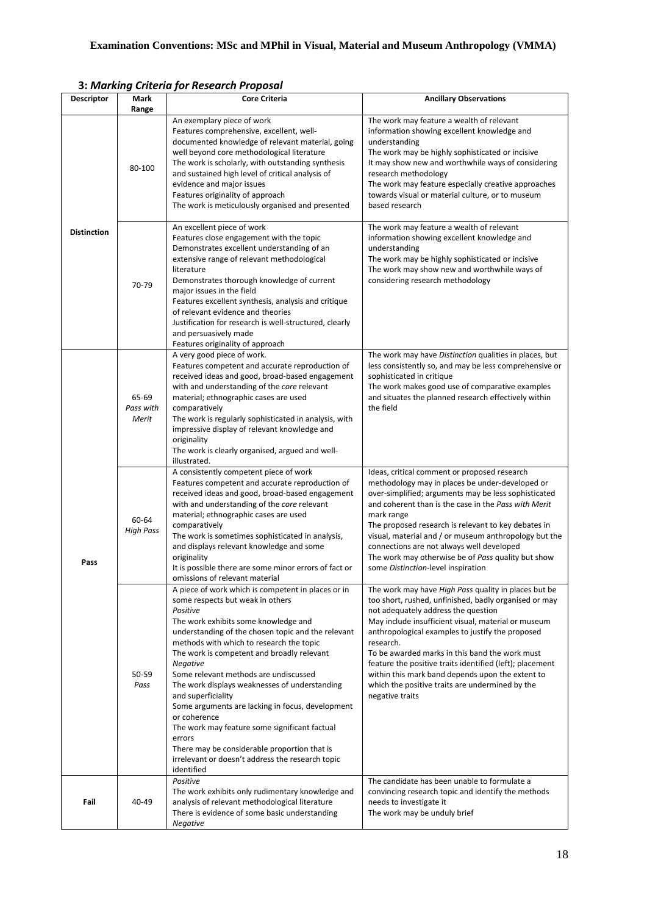|                    |                             | 3. Marking Chiefia jur Kesearch Fruposar                                                                                                                                                                                                                                                                                                                                                                                                                                                                                                                                                                                                                                       |                                                                                                                                                                                                                                                                                                                                                                                                                                                                                                                      |
|--------------------|-----------------------------|--------------------------------------------------------------------------------------------------------------------------------------------------------------------------------------------------------------------------------------------------------------------------------------------------------------------------------------------------------------------------------------------------------------------------------------------------------------------------------------------------------------------------------------------------------------------------------------------------------------------------------------------------------------------------------|----------------------------------------------------------------------------------------------------------------------------------------------------------------------------------------------------------------------------------------------------------------------------------------------------------------------------------------------------------------------------------------------------------------------------------------------------------------------------------------------------------------------|
| <b>Descriptor</b>  | <b>Mark</b><br>Range        | <b>Core Criteria</b>                                                                                                                                                                                                                                                                                                                                                                                                                                                                                                                                                                                                                                                           | <b>Ancillary Observations</b>                                                                                                                                                                                                                                                                                                                                                                                                                                                                                        |
|                    | 80-100                      | An exemplary piece of work<br>Features comprehensive, excellent, well-<br>documented knowledge of relevant material, going<br>well beyond core methodological literature<br>The work is scholarly, with outstanding synthesis<br>and sustained high level of critical analysis of<br>evidence and major issues<br>Features originality of approach<br>The work is meticulously organised and presented                                                                                                                                                                                                                                                                         | The work may feature a wealth of relevant<br>information showing excellent knowledge and<br>understanding<br>The work may be highly sophisticated or incisive<br>It may show new and worthwhile ways of considering<br>research methodology<br>The work may feature especially creative approaches<br>towards visual or material culture, or to museum<br>based research                                                                                                                                             |
| <b>Distinction</b> | 70-79                       | An excellent piece of work<br>Features close engagement with the topic<br>Demonstrates excellent understanding of an<br>extensive range of relevant methodological<br>literature<br>Demonstrates thorough knowledge of current<br>major issues in the field<br>Features excellent synthesis, analysis and critique<br>of relevant evidence and theories<br>Justification for research is well-structured, clearly<br>and persuasively made<br>Features originality of approach                                                                                                                                                                                                 | The work may feature a wealth of relevant<br>information showing excellent knowledge and<br>understanding<br>The work may be highly sophisticated or incisive<br>The work may show new and worthwhile ways of<br>considering research methodology                                                                                                                                                                                                                                                                    |
|                    | 65-69<br>Pass with<br>Merit | A very good piece of work.<br>Features competent and accurate reproduction of<br>received ideas and good, broad-based engagement<br>with and understanding of the core relevant<br>material; ethnographic cases are used<br>comparatively<br>The work is regularly sophisticated in analysis, with<br>impressive display of relevant knowledge and<br>originality<br>The work is clearly organised, argued and well-<br>illustrated.                                                                                                                                                                                                                                           | The work may have Distinction qualities in places, but<br>less consistently so, and may be less comprehensive or<br>sophisticated in critique<br>The work makes good use of comparative examples<br>and situates the planned research effectively within<br>the field                                                                                                                                                                                                                                                |
| Pass               | 60-64<br><b>High Pass</b>   | A consistently competent piece of work<br>Features competent and accurate reproduction of<br>received ideas and good, broad-based engagement<br>with and understanding of the core relevant<br>material; ethnographic cases are used<br>comparatively<br>The work is sometimes sophisticated in analysis,<br>and displays relevant knowledge and some<br>originality<br>It is possible there are some minor errors of fact or<br>omissions of relevant material                                                                                                                                                                                                                | Ideas, critical comment or proposed research<br>methodology may in places be under-developed or<br>over-simplified; arguments may be less sophisticated<br>and coherent than is the case in the Pass with Merit<br>mark range<br>The proposed research is relevant to key debates in<br>visual, material and / or museum anthropology but the<br>connections are not always well developed<br>The work may otherwise be of Pass quality but show<br>some Distinction-level inspiration                               |
|                    | 50-59<br>Pass               | A piece of work which is competent in places or in<br>some respects but weak in others<br>Positive<br>The work exhibits some knowledge and<br>understanding of the chosen topic and the relevant<br>methods with which to research the topic<br>The work is competent and broadly relevant<br><b>Negative</b><br>Some relevant methods are undiscussed<br>The work displays weaknesses of understanding<br>and superficiality<br>Some arguments are lacking in focus, development<br>or coherence<br>The work may feature some significant factual<br>errors<br>There may be considerable proportion that is<br>irrelevant or doesn't address the research topic<br>identified | The work may have High Pass quality in places but be<br>too short, rushed, unfinished, badly organised or may<br>not adequately address the question<br>May include insufficient visual, material or museum<br>anthropological examples to justify the proposed<br>research.<br>To be awarded marks in this band the work must<br>feature the positive traits identified (left); placement<br>within this mark band depends upon the extent to<br>which the positive traits are undermined by the<br>negative traits |
| Fail               | 40-49                       | Positive<br>The work exhibits only rudimentary knowledge and<br>analysis of relevant methodological literature<br>There is evidence of some basic understanding<br><b>Negative</b>                                                                                                                                                                                                                                                                                                                                                                                                                                                                                             | The candidate has been unable to formulate a<br>convincing research topic and identify the methods<br>needs to investigate it<br>The work may be unduly brief                                                                                                                                                                                                                                                                                                                                                        |

## **3:** *Marking Criteria for Research Proposal*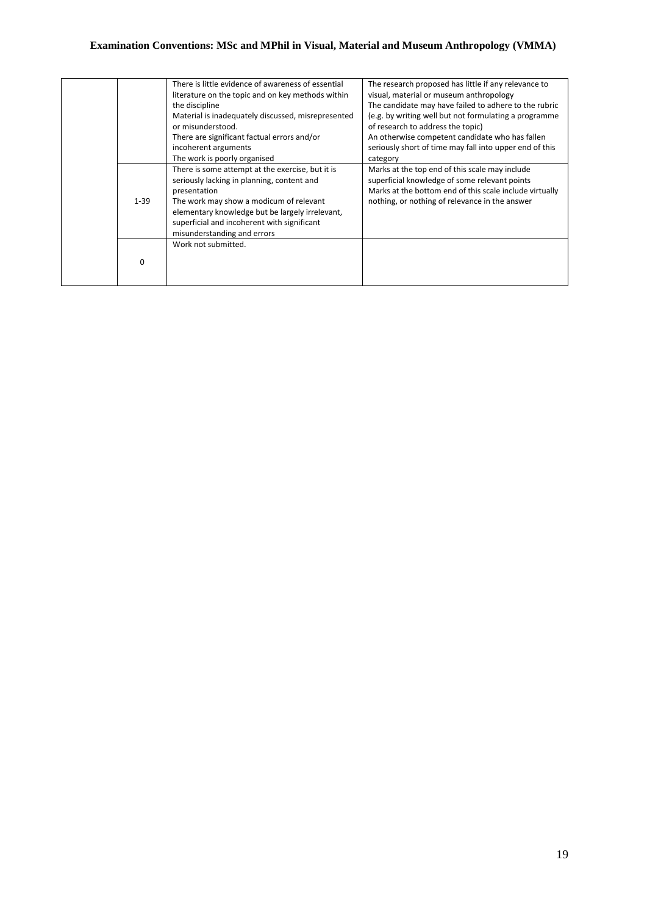|          | There is little evidence of awareness of essential                                                                                                                                                                                                                                         | The research proposed has little if any relevance to                                                                                                                                                         |
|----------|--------------------------------------------------------------------------------------------------------------------------------------------------------------------------------------------------------------------------------------------------------------------------------------------|--------------------------------------------------------------------------------------------------------------------------------------------------------------------------------------------------------------|
|          | literature on the topic and on key methods within                                                                                                                                                                                                                                          | visual, material or museum anthropology                                                                                                                                                                      |
|          | the discipline                                                                                                                                                                                                                                                                             | The candidate may have failed to adhere to the rubric                                                                                                                                                        |
|          | Material is inadequately discussed, misrepresented                                                                                                                                                                                                                                         | (e.g. by writing well but not formulating a programme                                                                                                                                                        |
|          | or misunderstood.                                                                                                                                                                                                                                                                          | of research to address the topic)                                                                                                                                                                            |
|          | There are significant factual errors and/or                                                                                                                                                                                                                                                | An otherwise competent candidate who has fallen                                                                                                                                                              |
|          | incoherent arguments                                                                                                                                                                                                                                                                       | seriously short of time may fall into upper end of this                                                                                                                                                      |
|          | The work is poorly organised                                                                                                                                                                                                                                                               | category                                                                                                                                                                                                     |
| $1 - 39$ | There is some attempt at the exercise, but it is<br>seriously lacking in planning, content and<br>presentation<br>The work may show a modicum of relevant<br>elementary knowledge but be largely irrelevant,<br>superficial and incoherent with significant<br>misunderstanding and errors | Marks at the top end of this scale may include<br>superficial knowledge of some relevant points<br>Marks at the bottom end of this scale include virtually<br>nothing, or nothing of relevance in the answer |
|          | Work not submitted.                                                                                                                                                                                                                                                                        |                                                                                                                                                                                                              |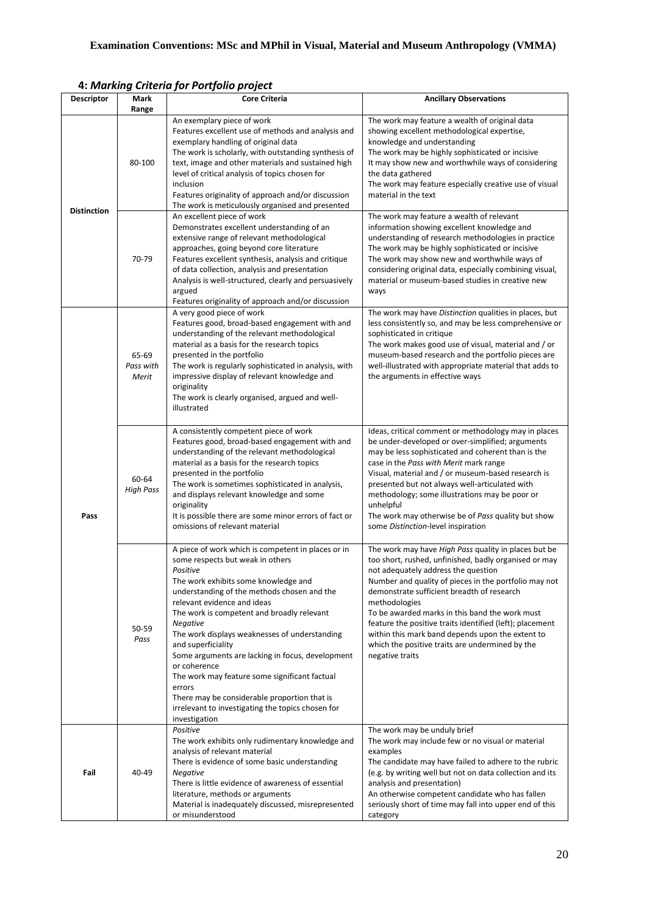|                    |                             | 4. warning chiefia joi rongollo project                                                                                                                                                                                                                                                                                                                                                                                                                                                                                                                                                                        |                                                                                                                                                                                                                                                                                                                                                                                                                                                                                                                      |
|--------------------|-----------------------------|----------------------------------------------------------------------------------------------------------------------------------------------------------------------------------------------------------------------------------------------------------------------------------------------------------------------------------------------------------------------------------------------------------------------------------------------------------------------------------------------------------------------------------------------------------------------------------------------------------------|----------------------------------------------------------------------------------------------------------------------------------------------------------------------------------------------------------------------------------------------------------------------------------------------------------------------------------------------------------------------------------------------------------------------------------------------------------------------------------------------------------------------|
| <b>Descriptor</b>  | Mark<br>Range               | <b>Core Criteria</b>                                                                                                                                                                                                                                                                                                                                                                                                                                                                                                                                                                                           | <b>Ancillary Observations</b>                                                                                                                                                                                                                                                                                                                                                                                                                                                                                        |
| <b>Distinction</b> | 80-100                      | An exemplary piece of work<br>Features excellent use of methods and analysis and<br>exemplary handling of original data<br>The work is scholarly, with outstanding synthesis of<br>text, image and other materials and sustained high<br>level of critical analysis of topics chosen for<br>inclusion<br>Features originality of approach and/or discussion<br>The work is meticulously organised and presented                                                                                                                                                                                                | The work may feature a wealth of original data<br>showing excellent methodological expertise,<br>knowledge and understanding<br>The work may be highly sophisticated or incisive<br>It may show new and worthwhile ways of considering<br>the data gathered<br>The work may feature especially creative use of visual<br>material in the text                                                                                                                                                                        |
|                    | 70-79                       | An excellent piece of work<br>Demonstrates excellent understanding of an<br>extensive range of relevant methodological<br>approaches, going beyond core literature<br>Features excellent synthesis, analysis and critique<br>of data collection, analysis and presentation<br>Analysis is well-structured, clearly and persuasively<br>argued<br>Features originality of approach and/or discussion                                                                                                                                                                                                            | The work may feature a wealth of relevant<br>information showing excellent knowledge and<br>understanding of research methodologies in practice<br>The work may be highly sophisticated or incisive<br>The work may show new and worthwhile ways of<br>considering original data, especially combining visual,<br>material or museum-based studies in creative new<br>ways                                                                                                                                           |
| Pass               | 65-69<br>Pass with<br>Merit | A very good piece of work<br>Features good, broad-based engagement with and<br>understanding of the relevant methodological<br>material as a basis for the research topics<br>presented in the portfolio<br>The work is regularly sophisticated in analysis, with<br>impressive display of relevant knowledge and<br>originality<br>The work is clearly organised, argued and well-<br>illustrated                                                                                                                                                                                                             | The work may have Distinction qualities in places, but<br>less consistently so, and may be less comprehensive or<br>sophisticated in critique<br>The work makes good use of visual, material and / or<br>museum-based research and the portfolio pieces are<br>well-illustrated with appropriate material that adds to<br>the arguments in effective ways                                                                                                                                                            |
|                    | 60-64<br><b>High Pass</b>   | A consistently competent piece of work<br>Features good, broad-based engagement with and<br>understanding of the relevant methodological<br>material as a basis for the research topics<br>presented in the portfolio<br>The work is sometimes sophisticated in analysis,<br>and displays relevant knowledge and some<br>originality<br>It is possible there are some minor errors of fact or<br>omissions of relevant material                                                                                                                                                                                | Ideas, critical comment or methodology may in places<br>be under-developed or over-simplified; arguments<br>may be less sophisticated and coherent than is the<br>case in the Pass with Merit mark range<br>Visual, material and / or museum-based research is<br>presented but not always well-articulated with<br>methodology; some illustrations may be poor or<br>unhelpful<br>The work may otherwise be of Pass quality but show<br>some Distinction-level inspiration                                          |
|                    | 50-59<br>Pass               | A piece of work which is competent in places or in<br>some respects but weak in others<br>Positive<br>The work exhibits some knowledge and<br>understanding of the methods chosen and the<br>relevant evidence and ideas<br>The work is competent and broadly relevant<br>Negative<br>The work displays weaknesses of understanding<br>and superficiality<br>Some arguments are lacking in focus, development<br>or coherence<br>The work may feature some significant factual<br>errors<br>There may be considerable proportion that is<br>irrelevant to investigating the topics chosen for<br>investigation | The work may have High Pass quality in places but be<br>too short, rushed, unfinished, badly organised or may<br>not adequately address the question<br>Number and quality of pieces in the portfolio may not<br>demonstrate sufficient breadth of research<br>methodologies<br>To be awarded marks in this band the work must<br>feature the positive traits identified (left); placement<br>within this mark band depends upon the extent to<br>which the positive traits are undermined by the<br>negative traits |
| Fail               | 40-49                       | Positive<br>The work exhibits only rudimentary knowledge and<br>analysis of relevant material<br>There is evidence of some basic understanding<br>Negative<br>There is little evidence of awareness of essential<br>literature, methods or arguments<br>Material is inadequately discussed, misrepresented<br>or misunderstood                                                                                                                                                                                                                                                                                 | The work may be unduly brief<br>The work may include few or no visual or material<br>examples<br>The candidate may have failed to adhere to the rubric<br>(e.g. by writing well but not on data collection and its<br>analysis and presentation)<br>An otherwise competent candidate who has fallen<br>seriously short of time may fall into upper end of this<br>category                                                                                                                                           |

**4:** *Marking Criteria for Portfolio project*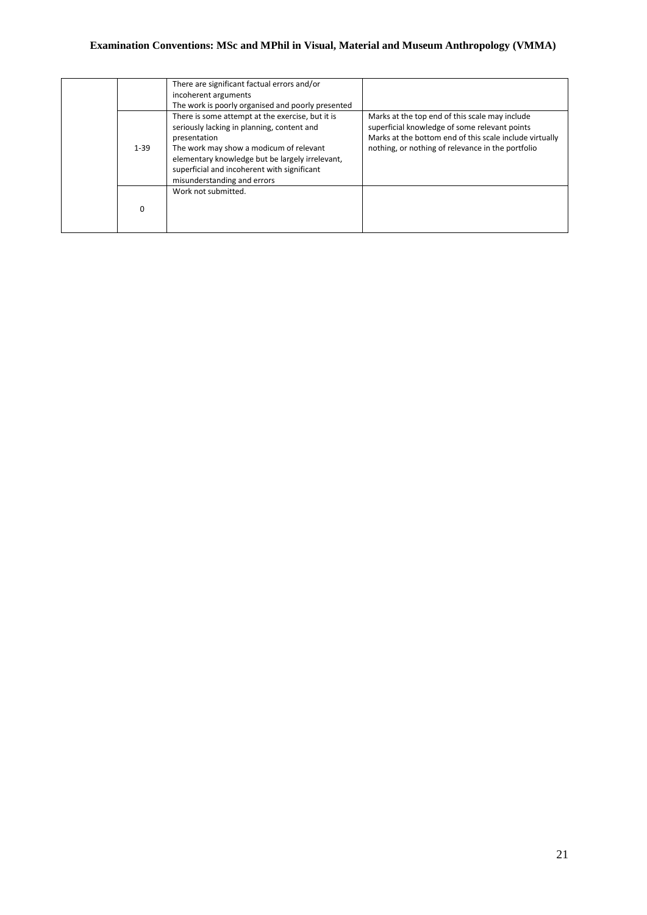|          | There are significant factual errors and/or<br>incoherent arguments<br>The work is poorly organised and poorly presented                                                                                                                                                                   |                                                                                                                                                                                                                 |
|----------|--------------------------------------------------------------------------------------------------------------------------------------------------------------------------------------------------------------------------------------------------------------------------------------------|-----------------------------------------------------------------------------------------------------------------------------------------------------------------------------------------------------------------|
| $1 - 39$ | There is some attempt at the exercise, but it is<br>seriously lacking in planning, content and<br>presentation<br>The work may show a modicum of relevant<br>elementary knowledge but be largely irrelevant,<br>superficial and incoherent with significant<br>misunderstanding and errors | Marks at the top end of this scale may include<br>superficial knowledge of some relevant points<br>Marks at the bottom end of this scale include virtually<br>nothing, or nothing of relevance in the portfolio |
| 0        | Work not submitted.                                                                                                                                                                                                                                                                        |                                                                                                                                                                                                                 |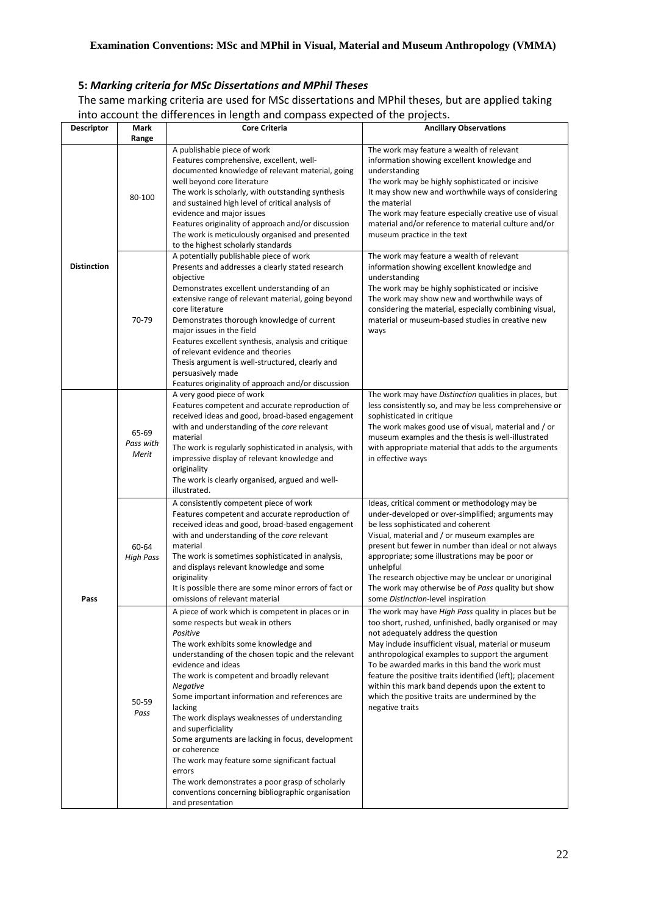# **5:** *Marking criteria for MSc Dissertations and MPhil Theses*

The same marking criteria are used for MSc dissertations and MPhil theses, but are applied taking into account the differences in length and compass expected of the projects.

|                    |                             | into account the unierences in ierigur and compass expected or the projects.                                                                                                                                                                                                                                                                                                                                                                                                                                                                                                                                                                                                          |                                                                                                                                                                                                                                                                                                                                                                                                                                                                                                         |
|--------------------|-----------------------------|---------------------------------------------------------------------------------------------------------------------------------------------------------------------------------------------------------------------------------------------------------------------------------------------------------------------------------------------------------------------------------------------------------------------------------------------------------------------------------------------------------------------------------------------------------------------------------------------------------------------------------------------------------------------------------------|---------------------------------------------------------------------------------------------------------------------------------------------------------------------------------------------------------------------------------------------------------------------------------------------------------------------------------------------------------------------------------------------------------------------------------------------------------------------------------------------------------|
| <b>Descriptor</b>  | Mark<br>Range               | <b>Core Criteria</b>                                                                                                                                                                                                                                                                                                                                                                                                                                                                                                                                                                                                                                                                  | <b>Ancillary Observations</b>                                                                                                                                                                                                                                                                                                                                                                                                                                                                           |
| <b>Distinction</b> | 80-100                      | A publishable piece of work<br>Features comprehensive, excellent, well-<br>documented knowledge of relevant material, going<br>well beyond core literature<br>The work is scholarly, with outstanding synthesis<br>and sustained high level of critical analysis of<br>evidence and major issues<br>Features originality of approach and/or discussion<br>The work is meticulously organised and presented<br>to the highest scholarly standards                                                                                                                                                                                                                                      | The work may feature a wealth of relevant<br>information showing excellent knowledge and<br>understanding<br>The work may be highly sophisticated or incisive<br>It may show new and worthwhile ways of considering<br>the material<br>The work may feature especially creative use of visual<br>material and/or reference to material culture and/or<br>museum practice in the text                                                                                                                    |
|                    | 70-79                       | A potentially publishable piece of work<br>Presents and addresses a clearly stated research<br>objective<br>Demonstrates excellent understanding of an<br>extensive range of relevant material, going beyond<br>core literature<br>Demonstrates thorough knowledge of current<br>major issues in the field<br>Features excellent synthesis, analysis and critique<br>of relevant evidence and theories<br>Thesis argument is well-structured, clearly and<br>persuasively made<br>Features originality of approach and/or discussion                                                                                                                                                  | The work may feature a wealth of relevant<br>information showing excellent knowledge and<br>understanding<br>The work may be highly sophisticated or incisive<br>The work may show new and worthwhile ways of<br>considering the material, especially combining visual,<br>material or museum-based studies in creative new<br>ways                                                                                                                                                                     |
|                    | 65-69<br>Pass with<br>Merit | A very good piece of work<br>Features competent and accurate reproduction of<br>received ideas and good, broad-based engagement<br>with and understanding of the core relevant<br>material<br>The work is regularly sophisticated in analysis, with<br>impressive display of relevant knowledge and<br>originality<br>The work is clearly organised, argued and well-<br>illustrated.                                                                                                                                                                                                                                                                                                 | The work may have Distinction qualities in places, but<br>less consistently so, and may be less comprehensive or<br>sophisticated in critique<br>The work makes good use of visual, material and / or<br>museum examples and the thesis is well-illustrated<br>with appropriate material that adds to the arguments<br>in effective ways                                                                                                                                                                |
| Pass               | 60-64<br><b>High Pass</b>   | A consistently competent piece of work<br>Features competent and accurate reproduction of<br>received ideas and good, broad-based engagement<br>with and understanding of the core relevant<br>material<br>The work is sometimes sophisticated in analysis,<br>and displays relevant knowledge and some<br>originality<br>It is possible there are some minor errors of fact or<br>omissions of relevant material                                                                                                                                                                                                                                                                     | Ideas, critical comment or methodology may be<br>under-developed or over-simplified; arguments may<br>be less sophisticated and coherent<br>Visual, material and / or museum examples are<br>present but fewer in number than ideal or not always<br>appropriate; some illustrations may be poor or<br>unhelpful<br>The research objective may be unclear or unoriginal<br>The work may otherwise be of Pass quality but show<br>some Distinction-level inspiration                                     |
|                    | 50-59<br>Pass               | A piece of work which is competent in places or in<br>some respects but weak in others<br>Positive<br>The work exhibits some knowledge and<br>understanding of the chosen topic and the relevant<br>evidence and ideas<br>The work is competent and broadly relevant<br><b>Negative</b><br>Some important information and references are<br>lacking<br>The work displays weaknesses of understanding<br>and superficiality<br>Some arguments are lacking in focus, development<br>or coherence<br>The work may feature some significant factual<br>errors<br>The work demonstrates a poor grasp of scholarly<br>conventions concerning bibliographic organisation<br>and presentation | The work may have High Pass quality in places but be<br>too short, rushed, unfinished, badly organised or may<br>not adequately address the question<br>May include insufficient visual, material or museum<br>anthropological examples to support the argument<br>To be awarded marks in this band the work must<br>feature the positive traits identified (left); placement<br>within this mark band depends upon the extent to<br>which the positive traits are undermined by the<br>negative traits |